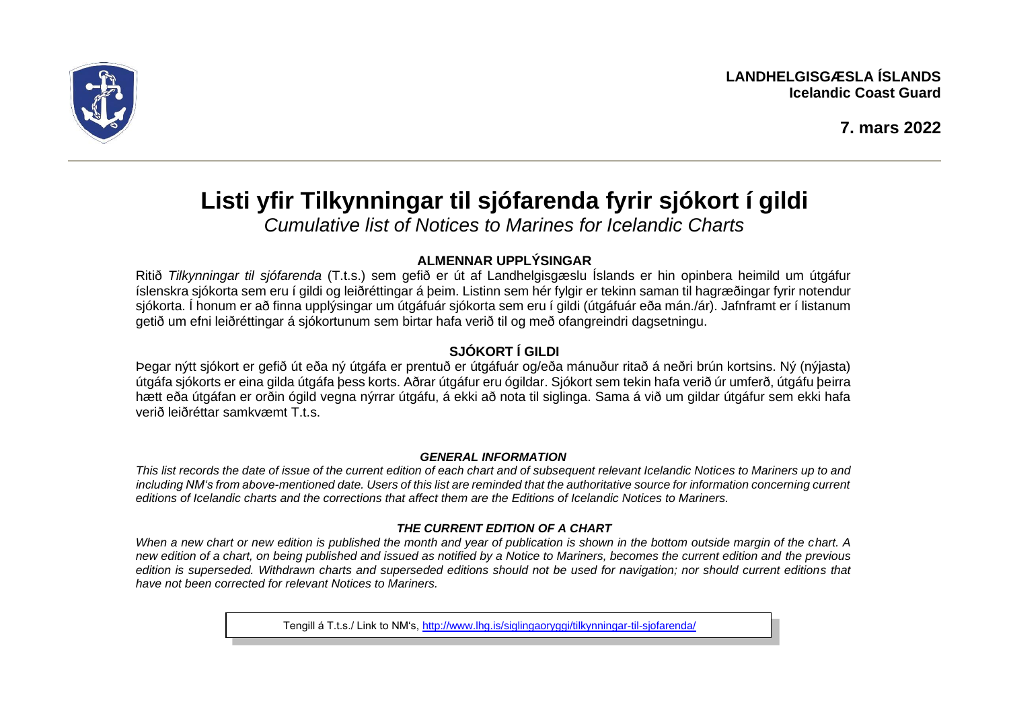

# **Listi yfir Tilkynningar til sjófarenda fyrir sjókort í gildi**

*Cumulative list of Notices to Marines for Icelandic Charts*

## **ALMENNAR UPPLÝSINGAR**

Ritið *Tilkynningar til sjófarenda* (T.t.s.) sem gefið er út af Landhelgisgæslu Íslands er hin opinbera heimild um útgáfur íslenskra sjókorta sem eru í gildi og leiðréttingar á þeim. Listinn sem hér fylgir er tekinn saman til hagræðingar fyrir notendur sjókorta. Í honum er að finna upplýsingar um útgáfuár sjókorta sem eru í gildi (útgáfuár eða mán./ár). Jafnframt er í listanum getið um efni leiðréttingar á sjókortunum sem birtar hafa verið til og með ofangreindri dagsetningu.

# **SJÓKORT Í GILDI**

Þegar nýtt sjókort er gefið út eða ný útgáfa er prentuð er útgáfuár og/eða mánuður ritað á neðri brún kortsins. Ný (nýjasta) útgáfa sjókorts er eina gilda útgáfa þess korts. Aðrar útgáfur eru ógildar. Sjókort sem tekin hafa verið úr umferð, útgáfu þeirra hætt eða útgáfan er orðin ógild vegna nýrrar útgáfu, á ekki að nota til siglinga. Sama á við um gildar útgáfur sem ekki hafa verið leiðréttar samkvæmt T.t.s.

#### *GENERAL INFORMATION*

*This list records the date of issue of the current edition of each chart and of subsequent relevant Icelandic Notices to Mariners up to and including NM's from above-mentioned date. Users of this list are reminded that the authoritative source for information concerning current editions of Icelandic charts and the corrections that affect them are the Editions of Icelandic Notices to Mariners.*

### *THE CURRENT EDITION OF A CHART*

*When a new chart or new edition is published the month and year of publication is shown in the bottom outside margin of the chart. A new edition of a chart, on being published and issued as notified by a Notice to Mariners, becomes the current edition and the previous edition is superseded. Withdrawn charts and superseded editions should not be used for navigation; nor should current editions that have not been corrected for relevant Notices to Mariners.* 

Tengill á T.t.s./ Link to NM's, <http://www.lhg.is/siglingaoryggi/tilkynningar-til-sjofarenda/>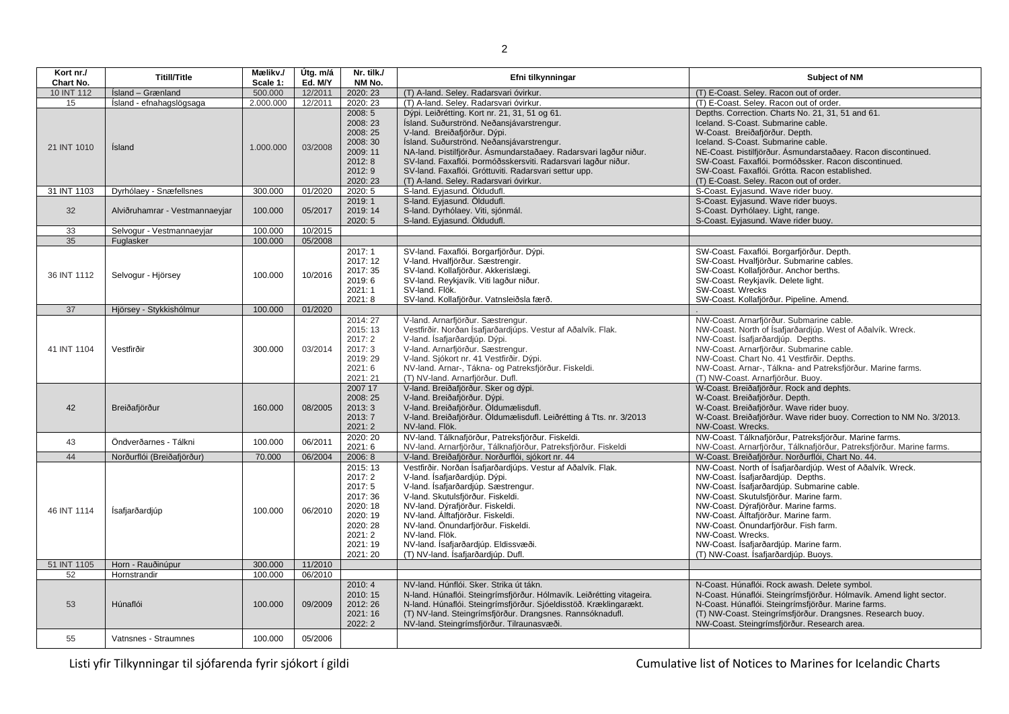| Kort nr./<br>Chart No. | <b>Titill/Title</b>            | Mælikv./<br>Scale 1: | Útg. m/á<br>Ed. M/Y | Nr. tilk./<br>NM No.                                                                                           | Efni tilkynningar                                                                                                                                                                                                                                                                                                                                                                                                | <b>Subject of NM</b>                                                                                                                                                                                                                                                                                                                                                                                                   |
|------------------------|--------------------------------|----------------------|---------------------|----------------------------------------------------------------------------------------------------------------|------------------------------------------------------------------------------------------------------------------------------------------------------------------------------------------------------------------------------------------------------------------------------------------------------------------------------------------------------------------------------------------------------------------|------------------------------------------------------------------------------------------------------------------------------------------------------------------------------------------------------------------------------------------------------------------------------------------------------------------------------------------------------------------------------------------------------------------------|
| 10 INT 112             | Ísland - Grænland              | 500.000              | 12/2011             | 2020: 23                                                                                                       | (T) A-land. Seley. Radarsvari óvirkur.                                                                                                                                                                                                                                                                                                                                                                           | (T) E-Coast. Seley. Racon out of order.                                                                                                                                                                                                                                                                                                                                                                                |
| 15                     | Ísland - efnahagslögsaga       | 2.000.000            | 12/2011             | 2020: 23                                                                                                       | (T) A-land. Seley. Radarsvari óvirkur.                                                                                                                                                                                                                                                                                                                                                                           | (T) E-Coast. Seley. Racon out of order.                                                                                                                                                                                                                                                                                                                                                                                |
| 21 INT 1010            | Ísland                         | 1.000.000            | 03/2008             | 2008: 5<br>2008: 23<br>2008: 25<br>2008: 30<br>2009: 11<br>2012:8<br>2012: 9<br>2020: 23                       | Dýpi. Leiðrétting. Kort nr. 21, 31, 51 og 61.<br>Ísland. Suðurströnd. Neðansjávarstrengur.<br>V-land. Breiðafjörður. Dýpi.<br>Ísland. Suðurströnd. Neðansjávarstrengur.<br>NA-land. Þistilfjörður. Ásmundarstaðaey. Radarsvari lagður niður.<br>SV-land. Faxaflói. Þormóðsskersviti. Radarsvari lagður niður.<br>SV-land. Faxaflói. Gróttuviti. Radarsvari settur upp.<br>(T) A-land. Seley. Radarsvari óvirkur. | Depths. Correction. Charts No. 21, 31, 51 and 61.<br>Iceland. S-Coast. Submarine cable.<br>W-Coast. Breiðafjörður. Depth.<br>Iceland. S-Coast. Submarine cable.<br>NE-Coast. Þistilfjörður. Ásmundarstaðaey. Racon discontinued.<br>SW-Coast. Faxaflói. Þormóðssker. Racon discontinued.<br>SW-Coast. Faxaflói. Grótta. Racon established.<br>(T) E-Coast. Seley. Racon out of order.                                  |
| 31 INT 1103            | Dyrhólaey - Snæfellsnes        | 300.000              | 01/2020             | 2020: 5                                                                                                        | S-land. Eyjasund. Öldudufl.                                                                                                                                                                                                                                                                                                                                                                                      | S-Coast. Eyjasund. Wave rider buoy.                                                                                                                                                                                                                                                                                                                                                                                    |
| 32                     | Alviðruhamrar - Vestmannaeyjar | 100.000              | 05/2017             | 2019:1<br>2019: 14<br>2020:5                                                                                   | S-land. Eyjasund. Öldudufl.<br>S-land. Dyrhólaey. Viti, sjónmál.<br>S-land. Eviasund. Öldudufl.                                                                                                                                                                                                                                                                                                                  | S-Coast. Eyjasund. Wave rider buoys.<br>S-Coast. Dyrhólaey. Light, range.<br>S-Coast. Eyjasund. Wave rider buoy.                                                                                                                                                                                                                                                                                                       |
| 33                     | Selvogur - Vestmannaeyjar      | 100.000              | 10/2015             |                                                                                                                |                                                                                                                                                                                                                                                                                                                                                                                                                  |                                                                                                                                                                                                                                                                                                                                                                                                                        |
| 35                     | Fuglasker                      | 100.000              | 05/2008             |                                                                                                                |                                                                                                                                                                                                                                                                                                                                                                                                                  |                                                                                                                                                                                                                                                                                                                                                                                                                        |
| 36 INT 1112            | Selvogur - Hjörsey             | 100.000              | 10/2016             | 2017: 1<br>2017: 12<br>2017: 35<br>2019:6<br>2021:1<br>2021:8                                                  | SV-land. Faxaflói. Borgarfjörður. Dýpi.<br>V-land. Hvalfjörður. Sæstrengir.<br>SV-land. Kollafjörður. Akkerislægi.<br>SV-land. Reykjavík. Viti lagður niður.<br>SV-land. Flök.<br>SV-land. Kollafjörður. Vatnsleiðsla færð.                                                                                                                                                                                      | SW-Coast. Faxaflói. Borgarfjörður. Depth.<br>SW-Coast. Hvalfjörður. Submarine cables.<br>SW-Coast. Kollafjörður. Anchor berths.<br>SW-Coast. Reykjavík. Delete light.<br>SW-Coast. Wrecks<br>SW-Coast. Kollafjörður. Pipeline. Amend.                                                                                                                                                                                  |
| 37                     | Hjörsey - Stykkishólmur        | 100.000              | 01/2020             |                                                                                                                |                                                                                                                                                                                                                                                                                                                                                                                                                  |                                                                                                                                                                                                                                                                                                                                                                                                                        |
| 41 INT 1104            | Vestfirðir                     | 300.000              | 03/2014             | 2014: 27<br>2015: 13<br>2017: 2<br>2017: 3<br>2019:29<br>2021:6<br>2021: 21                                    | V-land. Arnarfjörður. Sæstrengur.<br>Vestfirðir. Norðan Ísafjarðardjúps. Vestur af Aðalvík. Flak.<br>V-land. Ísafjarðardjúp. Dýpi.<br>V-land. Arnarfjörður. Sæstrengur.<br>V-land. Sjókort nr. 41 Vestfirðir. Dýpi.<br>NV-land. Arnar-, Tákna- og Patreksfjörður. Fiskeldi.<br>(T) NV-land. Arnarfjörður. Dufl.                                                                                                  | NW-Coast. Arnarfjörður. Submarine cable.<br>NW-Coast. North of Ísafjarðardjúp. West of Aðalvík. Wreck.<br>NW-Coast. Ísafjarðardjúp. Depths.<br>NW-Coast. Arnarfjörður. Submarine cable.<br>NW-Coast. Chart No. 41 Vestfirðir. Depths.<br>NW-Coast. Arnar-, Tálkna- and Patreksfjörður. Marine farms.<br>(T) NW-Coast. Arnarfjörður. Buoy.                                                                              |
| 42                     | Breiðafjörður                  | 160.000              | 08/2005             | 2007 17<br>2008: 25<br>2013:3<br>2013: 7<br>2021:2                                                             | V-land. Breiðafjörður. Sker og dýpi.<br>V-land. Breiðafjörður. Dýpi.<br>V-land. Breiðafjörður. Öldumælisdufl.<br>V-land. Breiðafjörður. Öldumælisdufl. Leiðrétting á Tts. nr. 3/2013<br>NV-land. Flök.                                                                                                                                                                                                           | W-Coast. Breiðafjörður. Rock and dephts.<br>W-Coast. Breiðafjörður. Depth.<br>W-Coast. Breiðafjörður. Wave rider buoy.<br>W-Coast. Breiðafjörður. Wave rider buoy. Correction to NM No. 3/2013.<br>NW-Coast. Wrecks.                                                                                                                                                                                                   |
| 43                     | Öndverðarnes - Tálkni          | 100.000              | 06/2011             | 2020: 20<br>2021:6                                                                                             | NV-land. Tálknafjörður, Patreksfjörður. Fiskeldi.<br>NV-land. Arnarfjörður, Tálknafjörður, Patreksfjörður. Fiskeldi                                                                                                                                                                                                                                                                                              | NW-Coast. Tálknafjörður, Patreksfjörður. Marine farms.<br>NW-Coast. Arnarfjörður, Tálknafjörður, Patreksfjörður. Marine farms.                                                                                                                                                                                                                                                                                         |
| 44                     | Norðurflói (Breiðafjörður)     | 70.000               | 06/2004             | 2006:8                                                                                                         | V-land. Breiðafjörður. Norðurflói, sjókort nr. 44                                                                                                                                                                                                                                                                                                                                                                | W-Coast. Breiðafjörður. Norðurflói, Chart No. 44.                                                                                                                                                                                                                                                                                                                                                                      |
| 46 INT 1114            | <i>Isafjarðardjúp</i>          | 100.000              | 06/2010             | 2015: 13<br>2017: 2<br>2017:5<br>2017: 36<br>2020: 18<br>2020: 19<br>2020: 28<br>2021:2<br>2021: 19<br>2021:20 | Vestfirðir. Norðan Ísafjarðardjúps. Vestur af Aðalvík. Flak.<br>V-land. Ísafjarðardjúp. Dýpi.<br>V-land. Ísafjarðardjúp. Sæstrengur.<br>V-land. Skutulsfjörður. Fiskeldi.<br>NV-land. Dýrafjörður. Fiskeldi.<br>NV-land. Álftafjörður. Fiskeldi.<br>NV-land. Önundarfjörður. Fiskeldi.<br>NV-land. Flök.<br>NV-land. Ísafjarðardjúp. Eldissvæði.<br>(T) NV-land. Ísafjarðardjúp. Dufl.                           | NW-Coast. North of Ísafjarðardjúp. West of Aðalvík. Wreck.<br>NW-Coast. Ísafjarðardjúp. Depths.<br>NW-Coast. Ísafjarðardjúp. Submarine cable.<br>NW-Coast. Skutulsfjörður. Marine farm.<br>NW-Coast. Dýrafjörður. Marine farms.<br>NW-Coast. Álftafjörður. Marine farm.<br>NW-Coast. Önundarfjörður. Fish farm.<br>NW-Coast. Wrecks.<br>NW-Coast. Ísafjarðardjúp. Marine farm.<br>(T) NW-Coast. Ísafjarðardjúp. Buoys. |
| 51 INT 1105            | Horn - Rauðinúpur              | 300.000              | 11/2010             |                                                                                                                |                                                                                                                                                                                                                                                                                                                                                                                                                  |                                                                                                                                                                                                                                                                                                                                                                                                                        |
| 52                     | Hornstrandir                   | 100.000              | 06/2010             |                                                                                                                |                                                                                                                                                                                                                                                                                                                                                                                                                  |                                                                                                                                                                                                                                                                                                                                                                                                                        |
| 53                     | Húnaflói                       | 100.000              | 09/2009             | 2010:4<br>2010: 15<br>2012: 26<br>2021: 16<br>2022: 2                                                          | NV-land. Húnflói. Sker. Strika út tákn.<br>N-land. Húnaflói. Steingrímsfjörður. Hólmavík. Leiðrétting vitageira.<br>N-land. Húnaflói. Steingrímsfjörður. Sjóeldisstöð. Kræklingarækt.<br>(T) NV-land. Steingrímsfjörður. Drangsnes. Rannsóknadufl.<br>NV-land. Steingrímsfjörður. Tilraunasvæði.                                                                                                                 | N-Coast. Húnaflói. Rock awash. Delete symbol.<br>N-Coast. Húnaflói. Steingrímsfjörður. Hólmavík. Amend light sector.<br>N-Coast. Húnaflói. Steingrímsfjörður. Marine farms.<br>(T) NW-Coast. Steingrímsfjörður. Drangsnes. Research buoy.<br>NW-Coast. Steingrímsfjörður. Research area.                                                                                                                               |
| 55                     | Vatnsnes - Straumnes           | 100.000              | 05/2006             |                                                                                                                |                                                                                                                                                                                                                                                                                                                                                                                                                  |                                                                                                                                                                                                                                                                                                                                                                                                                        |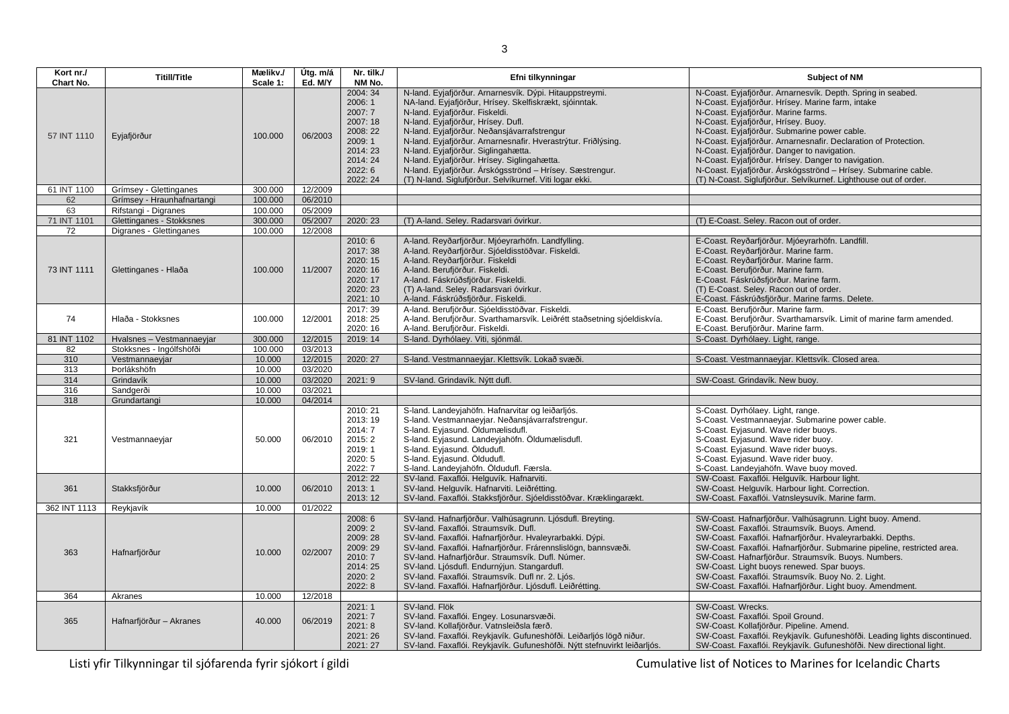| Kort nr./<br>Chart No. | <b>Titill/Title</b>        | Mælikv./<br>Scale 1: | Útg. m/á<br>Ed. M/Y | Nr. tilk./<br>NM No.                                                                                           | Efni tilkynningar                                                                                                                                                                                                                                                                                                                                                                                                                                                                                                      | Subject of NM                                                                                                                                                                                                                                                                                                                                                                                                                                                                                                                                                 |
|------------------------|----------------------------|----------------------|---------------------|----------------------------------------------------------------------------------------------------------------|------------------------------------------------------------------------------------------------------------------------------------------------------------------------------------------------------------------------------------------------------------------------------------------------------------------------------------------------------------------------------------------------------------------------------------------------------------------------------------------------------------------------|---------------------------------------------------------------------------------------------------------------------------------------------------------------------------------------------------------------------------------------------------------------------------------------------------------------------------------------------------------------------------------------------------------------------------------------------------------------------------------------------------------------------------------------------------------------|
| 57 INT 1110            | Eyjafjörður                | 100.000              | 06/2003             | 2004: 34<br>2006: 1<br>2007: 7<br>2007: 18<br>2008: 22<br>2009:1<br>2014:23<br>2014: 24<br>2022: 6<br>2022: 24 | N-land. Eyjafjörður. Arnarnesvík. Dýpi. Hitauppstreymi.<br>NA-land. Eyjafjörður, Hrísey. Skelfiskrækt, sjóinntak.<br>N-land. Eyjafjörður. Fiskeldi.<br>N-land. Eyjafjörður, Hrísey. Dufl.<br>N-land. Eyjafjörður. Neðansjávarrafstrengur<br>N-land. Eyjafjörður. Arnarnesnafir. Hverastrýtur. Friðlýsing.<br>N-land. Eyjafjörður. Siglingahætta.<br>N-land. Eyjafjörður. Hrísey. Siglingahætta.<br>N-land. Eyjafjörður. Árskógsströnd - Hrísey. Sæstrengur.<br>(T) N-land. Siglufjörður. Selvíkurnef. Viti logar ekki. | N-Coast. Eyjafjörður. Arnarnesvík. Depth. Spring in seabed.<br>N-Coast. Eyjafjörður. Hrísey. Marine farm, intake<br>N-Coast. Eyjafjörður. Marine farms.<br>N-Coast. Eyjafjörður, Hrísey. Buoy.<br>N-Coast. Eyjafjörður. Submarine power cable.<br>N-Coast. Eyjafjörður. Arnarnesnafir. Declaration of Protection.<br>N-Coast. Eyjafjörður. Danger to navigation.<br>N-Coast. Eyjafjörður. Hrísey. Danger to navigation.<br>N-Coast. Eyjafjörður. Árskógsströnd - Hrísey. Submarine cable.<br>(T) N-Coast. Siglufjörður. Selvíkurnef. Lighthouse out of order. |
| 61 INT 1100            | Grímsey - Glettinganes     | 300.000              | 12/2009             |                                                                                                                |                                                                                                                                                                                                                                                                                                                                                                                                                                                                                                                        |                                                                                                                                                                                                                                                                                                                                                                                                                                                                                                                                                               |
| 62                     | Grímsey - Hraunhafnartangi | 100.000              | 06/2010             |                                                                                                                |                                                                                                                                                                                                                                                                                                                                                                                                                                                                                                                        |                                                                                                                                                                                                                                                                                                                                                                                                                                                                                                                                                               |
| 63                     | Rifstangi - Digranes       | 100.000              | 05/2009             |                                                                                                                |                                                                                                                                                                                                                                                                                                                                                                                                                                                                                                                        |                                                                                                                                                                                                                                                                                                                                                                                                                                                                                                                                                               |
| 71 INT 1101            | Glettinganes - Stokksnes   | 300.000              | 05/2007             | 2020: 23                                                                                                       | (T) A-land. Seley. Radarsvari óvirkur.                                                                                                                                                                                                                                                                                                                                                                                                                                                                                 | (T) E-Coast. Seley. Racon out of order.                                                                                                                                                                                                                                                                                                                                                                                                                                                                                                                       |
| 72                     | Digranes - Glettinganes    | 100.000              | 12/2008             |                                                                                                                |                                                                                                                                                                                                                                                                                                                                                                                                                                                                                                                        |                                                                                                                                                                                                                                                                                                                                                                                                                                                                                                                                                               |
| 73 INT 1111            | Glettinganes - Hlaða       | 100.000              | 11/2007             | 2010: 6<br>2017: 38<br>2020: 15<br>2020: 16<br>2020: 17<br>2020: 23<br>2021: 10                                | A-land. Reyðarfjörður. Mjóeyrarhöfn. Landfylling.<br>A-land. Reyðarfjörður. Sjóeldisstöðvar. Fiskeldi.<br>A-land. Reyðarfjörður. Fiskeldi<br>A-land. Berufjörður. Fiskeldi.<br>A-land. Fáskrúðsfjörður. Fiskeldi.<br>(T) A-land. Seley. Radarsvari óvirkur.<br>A-land. Fáskrúðsfjörður. Fiskeldi.                                                                                                                                                                                                                      | E-Coast. Reyðarfjörður. Mjóeyrarhöfn. Landfill.<br>E-Coast. Reyðarfjörður. Marine farm.<br>E-Coast. Reyðarfjörður. Marine farm.<br>E-Coast. Berufjörður. Marine farm.<br>E-Coast. Fáskrúðsfjörður. Marine farm.<br>(T) E-Coast. Seley. Racon out of order.<br>E-Coast. Fáskrúðsfjörður. Marine farms. Delete.                                                                                                                                                                                                                                                 |
| 74                     | Hlaða - Stokksnes          | 100.000              | 12/2001             | 2017: 39<br>2018: 25<br>2020: 16                                                                               | A-land. Berufjörður. Sjóeldisstöðvar. Fiskeldi.<br>A-land. Berufjörður. Svarthamarsvík. Leiðrétt staðsetning sjóeldiskvía.<br>A-land. Berufjörður. Fiskeldi.                                                                                                                                                                                                                                                                                                                                                           | E-Coast. Berufiörður. Marine farm.<br>E-Coast. Berufjörður. Svarthamarsvík. Limit of marine farm amended.<br>E-Coast. Berufjörður. Marine farm.                                                                                                                                                                                                                                                                                                                                                                                                               |
| 81 INT 1102            | Hvalsnes - Vestmannaeyjar  | 300.000              | 12/2015             | 2019: 14                                                                                                       | S-land. Dyrhólaey. Viti, sjónmál.                                                                                                                                                                                                                                                                                                                                                                                                                                                                                      | S-Coast. Dyrhólaey. Light, range.                                                                                                                                                                                                                                                                                                                                                                                                                                                                                                                             |
| 82                     | Stokksnes - Ingólfshöfði   | 100.000              | 03/2013             |                                                                                                                |                                                                                                                                                                                                                                                                                                                                                                                                                                                                                                                        |                                                                                                                                                                                                                                                                                                                                                                                                                                                                                                                                                               |
| 310                    | Vestmannaeyjar             | 10.000               | 12/2015             | 2020: 27                                                                                                       | S-land. Vestmannaeyjar. Klettsvík. Lokað svæði.                                                                                                                                                                                                                                                                                                                                                                                                                                                                        | S-Coast. Vestmannaeyjar. Klettsvík. Closed area.                                                                                                                                                                                                                                                                                                                                                                                                                                                                                                              |
| 313                    | Þorlákshöfn                | 10.000               | 03/2020             |                                                                                                                |                                                                                                                                                                                                                                                                                                                                                                                                                                                                                                                        |                                                                                                                                                                                                                                                                                                                                                                                                                                                                                                                                                               |
| 314                    | Grindavík                  | 10.000               | 03/2020             | 2021:9                                                                                                         | SV-land. Grindavík. Nýtt dufl.                                                                                                                                                                                                                                                                                                                                                                                                                                                                                         | SW-Coast. Grindavík. New buoy.                                                                                                                                                                                                                                                                                                                                                                                                                                                                                                                                |
| 316                    | Sandgerði                  | 10.000               | 03/2021             |                                                                                                                |                                                                                                                                                                                                                                                                                                                                                                                                                                                                                                                        |                                                                                                                                                                                                                                                                                                                                                                                                                                                                                                                                                               |
| 318                    | Grundartangi               | 10.000               | 04/2014             |                                                                                                                |                                                                                                                                                                                                                                                                                                                                                                                                                                                                                                                        |                                                                                                                                                                                                                                                                                                                                                                                                                                                                                                                                                               |
| 321                    | Vestmannaeyjar             | 50.000               | 06/2010             | 2010: 21<br>2013: 19<br>2014: 7<br>2015: 2<br>2019:1<br>2020: 5<br>2022: 7                                     | S-land. Landeyjahöfn. Hafnarvitar og leiðarljós.<br>S-land. Vestmannaeyjar. Neðansjávarrafstrengur.<br>S-land. Eyjasund. Öldumælisdufl.<br>S-land. Eyjasund. Landeyjahöfn. Öldumælisdufl.<br>S-land. Eyjasund. Öldudufl.<br>S-land. Eyjasund. Öldudufl.<br>S-land. Landeyjahöfn. Öldudufl. Færsla.                                                                                                                                                                                                                     | S-Coast. Dyrhólaey. Light, range.<br>S-Coast. Vestmannaeyjar. Submarine power cable.<br>S-Coast. Eyjasund. Wave rider buoys.<br>S-Coast. Eyjasund. Wave rider buoy.<br>S-Coast. Eyjasund. Wave rider buoys.<br>S-Coast. Eyjasund. Wave rider buoy.<br>S-Coast. Landeyjahöfn. Wave buoy moved.                                                                                                                                                                                                                                                                 |
| 361                    | Stakksfjörður              | 10.000               | 06/2010             | 2012: 22<br>2013:1<br>2013: 12                                                                                 | SV-land. Faxaflói. Helguvík. Hafnarviti.<br>SV-land. Helguvík. Hafnarviti. Leiðrétting.<br>SV-land. Faxaflói. Stakksfjörður. Sjóeldisstöðvar. Kræklingarækt.                                                                                                                                                                                                                                                                                                                                                           | SW-Coast. Faxaflói. Helguvík. Harbour light.<br>SW-Coast. Helguvík. Harbour light. Correction.<br>SW-Coast. Faxaflói. Vatnsleysuvík. Marine farm.                                                                                                                                                                                                                                                                                                                                                                                                             |
| 362 INT 1113           | Reykjavík                  | 10.000               | 01/2022             |                                                                                                                |                                                                                                                                                                                                                                                                                                                                                                                                                                                                                                                        |                                                                                                                                                                                                                                                                                                                                                                                                                                                                                                                                                               |
| 363                    | Hafnarfjörður              | 10.000               | 02/2007             | 2008: 6<br>2009: 2<br>2009: 28<br>2009: 29<br>2010: 7<br>2014:25<br>2020: 2<br>2022: 8                         | SV-land. Hafnarfjörður. Valhúsagrunn. Ljósdufl. Breyting.<br>SV-land. Faxaflói. Straumsvík. Dufl.<br>SV-land. Faxaflói. Hafnarfjörður. Hvaleyrarbakki. Dýpi.<br>SV-land. Faxaflói. Hafnarfjörður. Frárennslislögn, bannsvæði.<br>SV-land. Hafnarfjörður. Straumsvík. Dufl. Númer.<br>SV-land. Ljósdufl. Endurnýjun. Stangardufl.<br>SV-land. Faxaflói. Straumsvík. Dufl nr. 2. Ljós.<br>SV-land. Faxaflói. Hafnarfjörður. Ljósdufl. Leiðrétting.                                                                       | SW-Coast. Hafnarfjörður. Valhúsagrunn. Light buoy. Amend.<br>SW-Coast. Faxaflói. Straumsvík. Buoys. Amend.<br>SW-Coast. Faxaflói. Hafnarfjörður. Hvaleyrarbakki. Depths.<br>SW-Coast. Faxaflói. Hafnarfjörður. Submarine pipeline, restricted area.<br>SW-Coast. Hafnarfjörður. Straumsvík. Buoys. Numbers.<br>SW-Coast. Light buoys renewed. Spar buoys.<br>SW-Coast. Faxaflói. Straumsvík. Buoy No. 2. Light.<br>SW-Coast. Faxaflói. Hafnarfjörður. Light buoy. Amendment.                                                                                  |
| 364                    | Akranes                    | 10.000               | 12/2018             |                                                                                                                |                                                                                                                                                                                                                                                                                                                                                                                                                                                                                                                        |                                                                                                                                                                                                                                                                                                                                                                                                                                                                                                                                                               |
| 365                    | Hafnarfjörður - Akranes    | 40.000               | 06/2019             | 2021: 1<br>2021: 7<br>2021: 8<br>2021:26<br>2021: 27                                                           | SV-land. Flök<br>SV-land. Faxaflói. Engey. Losunarsvæði.<br>SV-land. Kollafjörður. Vatnsleiðsla færð.<br>SV-land. Faxaflói. Reykjavík. Gufuneshöfði. Leiðarljós lögð niður.<br>SV-land. Faxaflói. Reykjavík. Gufuneshöfði. Nýtt stefnuvirkt leiðarljós.                                                                                                                                                                                                                                                                | SW-Coast. Wrecks.<br>SW-Coast. Faxaflói. Spoil Ground.<br>SW-Coast. Kollafjörður. Pipeline. Amend.<br>SW-Coast. Faxaflói. Reykjavík. Gufuneshöfði. Leading lights discontinued.<br>SW-Coast. Faxaflói. Reykjavík. Gufuneshöfði. New directional light.                                                                                                                                                                                                                                                                                                        |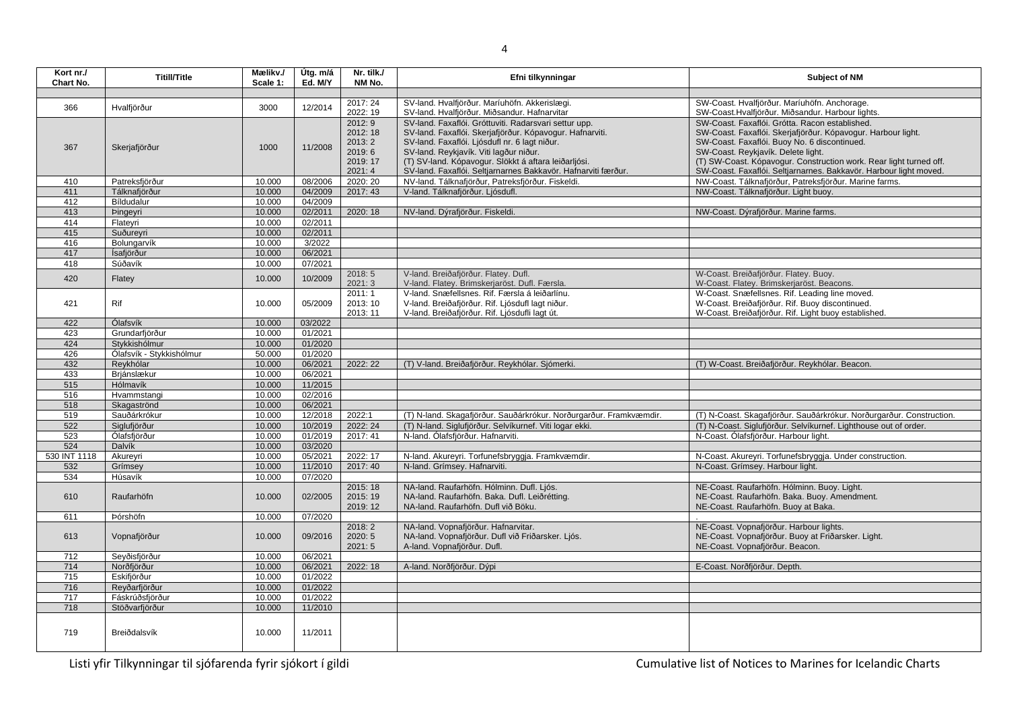**Kort nr./ Chart No. Titill/Title Mælikv./**<br>Chart No. **Titill/Title Cale 1: Scale 1: Útg. m/á Ed. M/Y Nr. tilk./ NM No. Efni tilkynningar Efni tilkynningar Subject of NM** <sup>366</sup> Hvalfjörður <sup>3000</sup> 12/2014 2017: 24 2022: 19 SV-land. Hvalfjörður. Maríuhöfn. Akkerislægi. SV-land. Hvalfjörður. Miðsandur. Hafnarvitar SW-Coast. Hvalfjörður. Maríuhöfn. Anchorage. SW-Coast.Hvalfjörður. Miðsandur. Harbour lights. 367 Skerjafjörður 1000 11/2008 2012: 9 2012: 18 2013: 2 2019: 6 2019: 17  $\frac{2021:4}{2020:20}$ SV-land. Faxaflói. Gróttuviti. Radarsvari settur upp. SV-land. Faxaflói. Skerjafjörður. Kópavogur. Hafnarviti. SV-land. Faxaflói. Ljósdufl nr. 6 lagt niður. SV-land. Reykjavík. Viti lagður niður. (T) SV-land. Kópavogur. Slökkt á aftara leiðarljósi. SV-land. Faxaflói. Seltjarnarnes Bakkavör. Hafnarviti færður.<br>NV-land. Tálknafiörður. Patreksfiörður. Fiskeldi. SW-Coast. Faxaflói. Grótta. Racon established. SW-Coast. Faxaflói. Skerjafjörður. Kópavogur. Harbour light. SW-Coast. Faxaflói. Buoy No. 6 discontinued. SW-Coast. Reykjavík. Delete light. (T) SW-Coast. Kópavogur. Construction work. Rear light turned off. SW-Coast. Faxaflói. Seltjarnarnes. Bakkavör. Harbour light moved. 410 Patreksfjörður 10.000 08/2006 2020: 20 NV-land. Tálknafjörður, Patreksfjörður. Fiskeldi. NW-Coast. Tálknafjörður, Patreksfjörður. Marine farms.<br>411 Tálknafjörður 10.000 04/2009 2017: 43 V-land. Tálknafjörður. Ljósdufl. 411 Tálknafjörður 10.000 04/2009 2017: 43 V-land. Tálknafjörður. Ljósdufl. NW-Coast. Tálknafjörður. Light buoy. 412 Bíldudalur 10.000 04/2009<br>413 bingevri 10.000 02/2011 413 Þingeyri 10.000 02/2011 2020: 18 NV-land. Dýrafjörður. Fiskeldi. NW-Coast. Dýrafjörður. Marine farms.<br>414 Flatevri 10.000 02/2011 114 Flateyri 10.000 02/2011<br>1415 Suðureyri 10.000 02/2011 115 Suðureyri 10.000 02/2011<br>116 Bolungarvík 10.000 3/2022 **Bolungarvík** 417 Ísafjörður 10.000 06/2021 Súðavík 420 **Flatey 10.000 10/2009** 2018: 5  $2021:3$ V-land. Breiðafjörður. Flatey. Dufl. V-land. Flatey. Brimskerjaröst. Dufl. Færsla. W-Coast. Breiðafjörður. Flatey. Buoy. W-Coast. Flatey. Brimskerjaröst. Beacons. 421 Rif 10.000 05/2009 2011: 1 2013: 10 2013: 11 V-land. Snæfellsnes. Rif. Færsla á leiðarlínu. V-land. Breiðafjörður. Rif. Ljósdufl lagt niður. V-land. Breiðafjörður. Rif. Ljósdufli lagt út. W-Coast. Snæfellsnes. Rif. Leading line moved. W-Coast. Breiðafjörður. Rif. Buoy discontinued. W-Coast. Breiðafjörður. Rif. Light buoy established. 422 Ólafsvík 10.000 03/2022 423 Grundarfjörður 10.000 01/2021 Stykkishólmur 426 Ólafsvík - Stykkishólmur 50.000 01/2020 432 Reykhólar 10.000 06/2021 2022: 22 (T) V-land. Breiðafjörður. Reykhólar. Sjómerki. (T) W-Coast. Breiðafjörður. Reykhólar. Beacon. 433 Brjánslækur 10.000 06/2021 515 Hólmavík 10.000 11/2015 516 **H**vammstangi 10.000 518 Skagaströnd 10.000 06/2021 Sauðárkrókur 10.000 12/2018 2022:1 (T) N-land. Skagafjörður. Sauðárkrókur. Norðurgarður. Framkvæmdir. (T) N-Coast. Skagafjörður. Sauðárkrókur. Norðurgarður. Construction. 522 Siglufjörður 10.000 10/2019 2022: 24 (T) N-land. Siglufjörður. Selvíkurnef. Viti logar ekki. (T) N-Coast. Siglufjörður. Selvíkurnef. Lighthouse out of order. 523 Ólafsfjörður 10.000 01/2019 2017: 41 N-land. Ólafsfjörður. Hafnarviti. N-Coast. Ólafsfjörður. Harbour light<br>524 Dalvík 10.000 03/2020 524 Dalvík 10.000 03/2020 530 INT 1118 Akureyri 10.000 05/2021 2022: 17 N-land. Akureyri. Torfunefsbryggja. Framkvæmdir. N-Coast. Akureyri. Torfunefsbryggja. Under construction.<br>532 Grímsev Grímsev 10.000 11/2010 2017: 40 N-land. Grímsev. Hafnarvit N-Coast. Grímsey. Harbour light. 534 Húsavík 10.000 07/2020 610 Raufarhöfn 10.000 02/2005 2015: 18 2015: 19 2019: 12 NA-land. Raufarhöfn. Hólminn. Dufl. Ljós. NA-land. Raufarhöfn. Baka. Dufl. Leiðrétting. NA-land. Raufarhöfn. Dufl við Böku. NE-Coast. Raufarhöfn. Hólminn. Buoy. Light. NE-Coast. Raufarhöfn. Baka. Buoy. Amendment. NE-Coast. Raufarhöfn. Buoy at Baka. 611 Þórshöfn 10.000 07/2020 . 613 Vopnafjörður 10.000 09/2016 2018: 2  $2020:5$ 2021: 5 NA-land. Vopnafjörður. Hafnarvitar. NA-land. Vopnafjörður. Dufl við Friðarsker. Ljós. A-land. Vopnafjörður. Dufl. NE-Coast. Vopnafjörður. Harbour lights. NE-Coast. Vopnafjörður. Buoy at Friðarsker. Light. NE-Coast. Vopnafjörður. Beacon. 712 Seyðisfjörður 10.000 06/2021 714 Norðfjörður 10.000 06/2021 2022: 18 A-land. Norðfjörður. Dýpi E-Coast. Norðfjörður. Depth. 715 Eskifjörður 10.000 01/2022 716 Reyðarfjörður 10.000 01/2022 717 Fáskrúðsfjörður 10.000 01/2022 718 Stöðvarfjörður 10.000 11/2010 719 Breiðdalsvík 10.000 11/2011